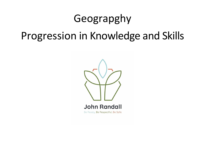## Geograpghy Progression in Knowledge and Skills

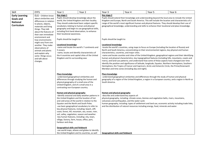| Skill                                                                                                                                                                                            | <b>EYFS</b>                                                                                                                                                                                                                                               | Year 1                                                                                                                                                                                                                                                                                                                                                                                                                                                                                                                                                     | Year 2                                                                                                                                                                                                                                                                                                                                                                                                                                                                                                                                                                                                                                                                                                                                                                                                                                                                                                  | Year 3                                                                                                                                                                                                                                                                                                                                                                                                                                | Year 4 | Year 5 | Year 6 |  |
|--------------------------------------------------------------------------------------------------------------------------------------------------------------------------------------------------|-----------------------------------------------------------------------------------------------------------------------------------------------------------------------------------------------------------------------------------------------------------|------------------------------------------------------------------------------------------------------------------------------------------------------------------------------------------------------------------------------------------------------------------------------------------------------------------------------------------------------------------------------------------------------------------------------------------------------------------------------------------------------------------------------------------------------------|---------------------------------------------------------------------------------------------------------------------------------------------------------------------------------------------------------------------------------------------------------------------------------------------------------------------------------------------------------------------------------------------------------------------------------------------------------------------------------------------------------------------------------------------------------------------------------------------------------------------------------------------------------------------------------------------------------------------------------------------------------------------------------------------------------------------------------------------------------------------------------------------------------|---------------------------------------------------------------------------------------------------------------------------------------------------------------------------------------------------------------------------------------------------------------------------------------------------------------------------------------------------------------------------------------------------------------------------------------|--------|--------|--------|--|
| <b>Early Learning</b><br><b>Goals and</b><br><b>National</b><br>Curriculum                                                                                                                       | ELG - Children know<br>about similarities and<br>differences in relation<br>to places, objects,<br>materials and living<br>things. They talk<br>about the features of<br>their own immediate                                                              | Key stage 1<br>Pupils should develop knowledge about the<br>world, the United Kingdom and their locality.<br>They should understand basic subject-specific<br>vocabulary relating to human and physical<br>geography and begin to use geographical skills,<br>including first-hand observation, to enhance<br>their locational awareness.                                                                                                                                                                                                                  |                                                                                                                                                                                                                                                                                                                                                                                                                                                                                                                                                                                                                                                                                                                                                                                                                                                                                                         | Key stage 2<br>Pupils should extend their knowledge and understanding beyond the local area to include the United<br>Kingdom and Europe, North and South America. This will include the location and characteristics of a<br>range of the world's most significant human and physical features. They should develop their use of<br>geographical knowledge, understanding and skills to enhance their locational and place knowledge. |        |        |        |  |
| environment and<br>how environments<br>might vary from one<br>another. They make<br>observations of<br>animals and plants<br>and explain why<br>some things occur,<br>and talk about<br>changes. | Pupils should be taught to:<br>Locational knowledge<br>-name and locate the world's 7 continents and<br>5 oceans<br>-name, locate and identify characteristics of<br>the 4 countries and capital cities of the United<br>Kingdom and its surrounding seas |                                                                                                                                                                                                                                                                                                                                                                                                                                                                                                                                                            | Pupils should be taught to:<br>Locational knowledge<br>-locate the world's countries, using maps to focus on Europe (including the location of Russia) and<br>North and South America, concentrating on their environmental regions, key physical and human<br>characteristics, countries, and major cities.<br>-name and locate counties and cities of the United Kingdom, geographical regions and their identifying<br>human and physical characteristics, key topographical features (including hills, mountains, coasts and<br>rivers), and land-use patterns; and understand how some of these aspects have changed over time<br>identify the position and significance of latitude, longitude, Equator, Northern Hemisphere, Southern<br>Hemisphere, the Tropics of Cancer and Capricorn, Arctic and Antarctic Circle, the Prime/Greenwich<br>Meridian and time zones (including day and night). |                                                                                                                                                                                                                                                                                                                                                                                                                                       |        |        |        |  |
|                                                                                                                                                                                                  |                                                                                                                                                                                                                                                           | Place knowledge<br>-understand geographical similarities and<br>differences through studying the human and<br>physical geography of a small area of the<br>United Kingdom, and of a small area in a<br>contrasting non-European country.                                                                                                                                                                                                                                                                                                                   |                                                                                                                                                                                                                                                                                                                                                                                                                                                                                                                                                                                                                                                                                                                                                                                                                                                                                                         | Place knowledge<br>-understand geographical similarities and differences through the study of human and physical<br>geography of a region of the United Kingdom, a region in a European country, and a region in North or<br>South America.                                                                                                                                                                                           |        |        |        |  |
|                                                                                                                                                                                                  |                                                                                                                                                                                                                                                           | Human and physical geography<br>-identify seasonal and daily weather patterns in<br>the United Kingdom and the location of hot<br>and cold areas of the world in relation to the<br>Equator and the North and South Poles.<br>-use basic geographical vocabulary to refer to:<br>key physical features, including: beach, cliff,<br>coast, forest, hill, mountain, sea, ocean, river,<br>soil, valley, vegetation, season and weather.<br>-key human features, including: city, town,<br>village, factory, farm, house, office, port,<br>harbour and shop. |                                                                                                                                                                                                                                                                                                                                                                                                                                                                                                                                                                                                                                                                                                                                                                                                                                                                                                         | Human and physical geography<br>-describe and understand key aspects of:<br>physical geography, including: climate zones, biomes and vegetation belts, rivers, mountains,<br>volcanoes and earthquakes, and the water cycle<br>human geography, including: types of settlement and land use, economic activity including trade links,<br>and the distribution of natural resources including energy, food, minerals and water.        |        |        |        |  |
|                                                                                                                                                                                                  |                                                                                                                                                                                                                                                           | <b>Geographical skills and fieldwork</b><br>-use world maps, atlases and globes to identify<br>the United Kingdom and its countries, as well                                                                                                                                                                                                                                                                                                                                                                                                               |                                                                                                                                                                                                                                                                                                                                                                                                                                                                                                                                                                                                                                                                                                                                                                                                                                                                                                         | <b>Geographical skills and fieldwork</b>                                                                                                                                                                                                                                                                                                                                                                                              |        |        |        |  |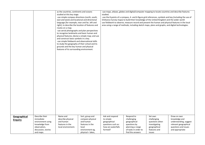|                                |                                                                                                           | as the countries, continents and oceans<br>studied at this key stage.<br>-use simple compass directions (north, south,<br>east and west) and locational and directional<br>language [for example, near and far, left and<br>right], to describe the location of features and<br>routes on a map.<br>-use aerial photographs and plan perspectives<br>to recognise landmarks and basic human and<br>physical features; devise a simple map; and use<br>and construct basic symbols in a key.<br>-use simple fieldwork and observational skills<br>to study the geography of their school and its<br>grounds and the key human and physical<br>features of its surrounding environment. |                                                                                                 | studied.                                                                                            | -use maps, atlases, globes and digital/computer mapping to locate countries and describe features<br>Ordnance Survey maps) to build their knowledge of the United Kingdom and the wider world<br>use fieldwork to observe, measure record and present the human and physical features in the local<br>area using a range of methods, including sketch maps, plans and graphs, and digital technologies. |                                                                                           | -use the 8 points of a compass, 4- and 6-figure grid references, symbols and key (including the use of                     |
|--------------------------------|-----------------------------------------------------------------------------------------------------------|---------------------------------------------------------------------------------------------------------------------------------------------------------------------------------------------------------------------------------------------------------------------------------------------------------------------------------------------------------------------------------------------------------------------------------------------------------------------------------------------------------------------------------------------------------------------------------------------------------------------------------------------------------------------------------------|-------------------------------------------------------------------------------------------------|-----------------------------------------------------------------------------------------------------|---------------------------------------------------------------------------------------------------------------------------------------------------------------------------------------------------------------------------------------------------------------------------------------------------------------------------------------------------------------------------------------------------------|-------------------------------------------------------------------------------------------|----------------------------------------------------------------------------------------------------------------------------|
|                                |                                                                                                           |                                                                                                                                                                                                                                                                                                                                                                                                                                                                                                                                                                                                                                                                                       |                                                                                                 |                                                                                                     |                                                                                                                                                                                                                                                                                                                                                                                                         |                                                                                           |                                                                                                                            |
|                                |                                                                                                           |                                                                                                                                                                                                                                                                                                                                                                                                                                                                                                                                                                                                                                                                                       |                                                                                                 |                                                                                                     |                                                                                                                                                                                                                                                                                                                                                                                                         |                                                                                           |                                                                                                                            |
| Geographical<br><b>Enquiry</b> | Describe their<br>immediate<br>environment using<br>knowledge from<br>observation,<br>discussion, stories | Name and<br>describe physical<br>and human<br>features in the<br>local environment.                                                                                                                                                                                                                                                                                                                                                                                                                                                                                                                                                                                                   | Sort, group and<br>compare physical<br>and human<br>features in the<br>local<br>environment eg, | Ask and respond<br>to simple<br>geographical<br>questions such as:<br>how are waterfalls<br>formed? | Respond to<br>challenging<br>geographical<br>questions by<br>planning a range<br>of tasks in order to                                                                                                                                                                                                                                                                                                   | Set own<br>challenging<br>questions when<br>investigating<br>geographical<br>features and | Draw on own<br>knowledge and<br>understanding, suggest<br>relevant geographical<br>questions and issues<br>and appropriate |
|                                | and maps.                                                                                                 |                                                                                                                                                                                                                                                                                                                                                                                                                                                                                                                                                                                                                                                                                       | physical = lakes,                                                                               |                                                                                                     | find the answers                                                                                                                                                                                                                                                                                                                                                                                        | issues                                                                                    |                                                                                                                            |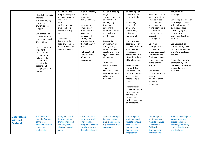|                                         | Identify features in<br>the local<br>environment, e.g.<br>house, farm,<br>church, street,<br>lamppost.<br>Use photos and<br>pictures to locate<br>places in the local<br>environment.<br>Understand some<br>important<br>processes and<br>changes in the<br>natural world<br>around them,<br>including the<br>seasons and<br>changing states of<br>matter. | Use photos and<br>simple street plans<br>to locate places of<br>interest in the<br>local<br>environment.eg,<br>shops, schools<br>church buildings<br>etc<br>Talk about the<br>features of the<br>local environment<br>that are liked and<br>disliked and why. | river, mountains,<br>climate.<br>Human=roads,<br>dams, buildings,<br>Use maps and<br>simple street<br>plans to locate<br>places and<br>features in the<br>locality and<br>further afield ie,<br>the next nearest<br>town.<br>Talk about and<br>compare features<br>of the local<br>environment | Use an increasing<br>range of<br>secondary sources<br>and first-hand<br>enquiry, e.g.<br>travel survey<br>counting the<br>different varieties<br>of vehicles on a<br>nearby road.<br>Present findings<br>of geographical<br>surveys using a<br>range of simple<br>graphs and charts<br>eg, bar charts and<br>pictograms.<br>Talk about<br>evidence, draw<br>simple<br>conclusions with<br>reference to data<br>collected or<br>observed. | eg what type of<br>land use is most<br>common in the<br>local are ie,<br>residential,<br>commercial,<br>transport,<br>educational,<br>religious,<br>recreational.<br>Use primary and<br>secondary sources<br>to find information<br>about a range of<br>localities eg,<br>rainfall and hours<br>of sunshine data<br>of two localities.<br>Present findings<br>and statistical<br>information in a<br>range of different<br>ways e.g. line<br>graphs and pie<br>charts.<br>Present reasoned<br>conclusions when<br>presenting my<br>findings with<br>reference to<br>evidence collected<br>or researched. | Select appropriate<br>sources of primary<br>(data collected<br>first-hand) and<br>secondary (data<br>found from books<br>and internet)<br>information to<br>support<br>investigation.<br>Select an<br>appropriate way<br>in which to<br>present statistical<br>information and<br>findings eg, mean<br>, mode, median,<br>range, scatter<br>graphs.<br>Ensure that<br>conclusions make<br>accurate<br>reference to the<br>evidence<br>presented. | sequences of<br>investigation.<br>Use multiple sources of<br>increasingly complex<br>skills and sources of<br>evidence and use<br>effectively eg, first-<br>hand, data in<br>textbooks, data from<br>websites.<br>Use Geographical<br><b>Information Systems</b><br>(GIS) to view, analyse<br>and interpret places<br>and data.<br>Present findings in a<br>coherent way and<br>reach conclusions that<br>are consistent with<br>evidence. |
|-----------------------------------------|------------------------------------------------------------------------------------------------------------------------------------------------------------------------------------------------------------------------------------------------------------------------------------------------------------------------------------------------------------|---------------------------------------------------------------------------------------------------------------------------------------------------------------------------------------------------------------------------------------------------------------|------------------------------------------------------------------------------------------------------------------------------------------------------------------------------------------------------------------------------------------------------------------------------------------------|------------------------------------------------------------------------------------------------------------------------------------------------------------------------------------------------------------------------------------------------------------------------------------------------------------------------------------------------------------------------------------------------------------------------------------------|----------------------------------------------------------------------------------------------------------------------------------------------------------------------------------------------------------------------------------------------------------------------------------------------------------------------------------------------------------------------------------------------------------------------------------------------------------------------------------------------------------------------------------------------------------------------------------------------------------|--------------------------------------------------------------------------------------------------------------------------------------------------------------------------------------------------------------------------------------------------------------------------------------------------------------------------------------------------------------------------------------------------------------------------------------------------|--------------------------------------------------------------------------------------------------------------------------------------------------------------------------------------------------------------------------------------------------------------------------------------------------------------------------------------------------------------------------------------------------------------------------------------------|
| Geographical<br>skills and<br>fieldwork | Talk about and<br>describe features<br>of the local<br>environment from<br>photos and<br>leaflets etc.                                                                                                                                                                                                                                                     | Carry out a small<br>local survey, e.g.<br>traffic, litter, land<br>use using tally<br>charts to record<br>data.                                                                                                                                              | Carry out a local<br>survey, e.g. traffic,<br>litter, land use<br>using a bar chart to<br>visually represent<br>the data collected.                                                                                                                                                            | Take part in simple<br>fieldwork using<br>simple equipment,<br>e.g. compass, map,<br>camera etc.                                                                                                                                                                                                                                                                                                                                         | Use a range of<br>equipment and<br>maps to conduct<br>fieldwork tasks.<br>Communicate<br>findings using<br>geographical                                                                                                                                                                                                                                                                                                                                                                                                                                                                                  | Use a range of<br>equipment and<br>maps to conduct<br>independent<br>fieldwork.<br>Communicate<br>findings using                                                                                                                                                                                                                                                                                                                                 | Build on knowledge of<br>globes, maps and<br>atlases and apply<br>knowledge routinely<br>both in the classroom<br>and the field.                                                                                                                                                                                                                                                                                                           |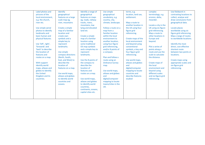| Label photos and    | Identify                             | Identify a range of            | Use simple             | terms, e.g.               | complex              | Use fieldwork in                    |
|---------------------|--------------------------------------|--------------------------------|------------------------|---------------------------|----------------------|-------------------------------------|
| pictures of the     | geographical                         | geographical                   | geographical           | location, land use,       | terminology, e.g.    | contrasting locations to            |
| local environment.  | features on a large                  | features on maps               | vocabulary, e.g.       | settlement.               | erosion, delta,      | collect, analyse and                |
| e.g. the church,    | scale map eg,                        | eg, roads, railway             | country, city,         |                           | meander.             | draw conclusions from               |
| river etc.          | river, mountains                     | tracks, rivers,                | climate, landscape.    | Map a route to            |                      | geographical data.                  |
|                     |                                      | mountains, low                 |                        | another location in       | Locate a city in the |                                     |
| Use simple aerial   | Create a simple                      | lying and elevated             | Follow a route on a    | the UK using four-        | UK using six-figure  | Locate places                       |
| photos to identify  | map of a familiar                    | land etc                       | map from a             | figure grid               | grid referencing.    | worldwide using six                 |
| landmarks and       | location and                         |                                | familiar location      | referencing.              | Map a route to       | figure grid referencing.            |
| basic human and     | create own                           | Create a simple                | within the local       |                           | other locations in   | Map a range of routes               |
| physical features.  | symbols and a                        | map of a familiar              | environment to         | Create maps of the        | <b>Europe and</b>    | to worldwide locations.             |
|                     | simple key to                        | location using                 | another location.      | local environment         | beyond.              |                                     |
| Use 'left', right', | represent                            | some traditional               | using four-figure      | and beyond using          |                      | Identify the most                   |
| 'forwards' and      | landmarks.                           | OS map symbols                 | grid referencing,      | conventional              | Plot a series of     | direct, cost effective              |
| 'back' to describe  |                                      | and a simple key to            | and/or 8 points of     | symbols, a key and        | points along a       | shortest route                      |
| the location of     | Use simple                           |                                |                        | four-figure grid          | route and use the    |                                     |
| features and        |                                      | represent<br>landmarks.        | a compass.             |                           | scale to calculate   | between two points or<br>locations. |
|                     | compass directions                   |                                | Plan and follow a      | referencing.              |                      |                                     |
| routes on a map.    | (North, South,<br>East, and West) to | Use the 8 points of            | route using an         | Use world maps,           | the distance.        |                                     |
|                     |                                      |                                |                        |                           |                      | Create maps using                   |
| With support        | describe the                         | the compass to<br>describe the | <b>Ordnance Survey</b> | atlases and globes<br>and | Create maps of       | appropriate scales and              |
| identify world      | location of                          |                                | map.                   |                           | the local            | six-figure grid                     |
| maps, atlases and   | features on a map.                   | location of                    |                        | digital/computer          | environment and      | referencing.                        |
| globes to identify  |                                      | features and                   | Use world maps,        | mapping to locate         | beyond using         |                                     |
| the United          | Use world maps,                      | routes on a map.               | atlases and globes     | countries and             | different scales     |                                     |
| Kingdom and its     | atlases and globes                   |                                | and                    | describe features         | and six-figure grid  |                                     |
| countries.          | to identify world                    | Use world maps,                | digital/computer       | studied                   | referencing.         |                                     |
|                     | countries and                        | atlases and globes             | mapping to locate      |                           |                      |                                     |
|                     | oceans.                              | to identify world              | towns/cities in the    |                           |                      |                                     |
|                     |                                      | countries,                     | UK.                    |                           |                      |                                     |
|                     |                                      | continents, oceans,            |                        |                           |                      |                                     |
|                     |                                      | capital cities etc.            |                        |                           |                      |                                     |
|                     |                                      |                                |                        |                           |                      |                                     |
|                     |                                      |                                |                        |                           |                      |                                     |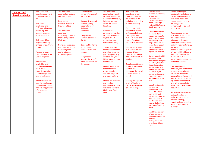| <b>Talk about and</b><br><b>Talk about and</b><br><b>Extend and deepen</b><br>Talk about and<br>Talk about and<br><b>Talk about and</b><br>Talk about and<br><b>Location and</b><br>compare a wide range<br>describe people and<br>describe key features<br>compare features of<br>describe features of<br>locational knowledge and<br>describe a range of<br>place knowledge<br>of locations,<br>places in the local<br>of the local area.<br>the local area.<br>localities beyond the<br>cities and countries<br>spatial awareness of the<br>countries, and<br>local area of Madeley,<br>around the world,<br>world's countries and<br>area.<br>continents around the<br>Describe and<br>Compare features of<br>including a region<br>including a region in a<br>environmental regions,<br>world, including a<br><b>Talk about</b><br>compare features of<br>localities, giving<br>within the United<br>including polar,<br>European country.<br>region within North or<br>similarities and<br>known localities.<br>reasons for their<br>temperate, tropical and<br>Kingdom.<br>South America.<br>differences between<br>similarities and<br>Support reasons for<br>hot deserts.<br>the similarities and<br>places, e.g. the<br>Talk about and<br>differences.<br>Describe and<br>Support reasons for<br>describe a<br>school playground<br>differences between<br>Recognise and explain<br>compare contrasting<br>the physical and<br>and the town park.<br>Compare and<br>locations within and<br>the physical and<br>how physical and human<br>contrasting locality in<br>human features of a<br>the UK compared to<br>contrast localities in<br>beyond the UK. (a<br>human features of a<br>processes interact to<br>location with factual<br>Talk about different<br>Madeley.<br>the UK.<br>contrasting non-<br>range of locations<br>influence and change<br>evidence eg, why<br>with factual evidence.<br>ways to travel, e.g.<br>European country)<br>landscapes, environments<br>large Valleys can be<br>Name and locate the<br>on foot, by car, train,<br>Name and locate the<br>found due to glacial<br>and climates over time eg,<br>erosion and why<br>four countries of the<br>bus etc.<br>world's seven<br>Suggest reasons for<br>Identify physical and<br>increased rainfall<br>people might settle in<br>United kingdom,<br>continents and five<br>the location of towns<br>human features that<br>increases erosional power<br>a particular location.<br>Name and locate the<br>capital cities and<br>and settlements in a<br>have contributed<br>of rivers which widen and<br>oceans.<br>four countries of the<br>surrounding seas.<br>particular place, e.g.<br>towards the change<br>alter river channels and<br>Suggest ways in which<br><b>United Kingdom</b><br>and development of a<br>meanders. Humans<br>Compare and<br>next to a river, on a<br>a location might<br>contrast the world's<br>hilltop for defence eg<br>impact on climate and the<br>locality.<br>develop and change in<br>Greenhouse effect.<br><b>Explain some</b><br>seven continents and<br>Shrewsbury.<br>the future, based on<br>similarities and<br>Explain about the way<br>five oceans.<br>factual information<br>differences between<br>Identify physical and<br>in which the physical<br>Describe the ways in<br>eg, The arrival of a<br>life in other<br>human features<br>location can<br>which physical and human<br>multinational business<br>within a local study<br>determine the growth<br>countries, drawing<br>processes operating at<br>to Telford might<br>on knowledge from<br>and how they have<br>of a settlement or<br>different scales create<br>change land use and<br>stories and maps.<br>changed over time.<br>geographical patterns and<br>industry.<br>create jobs which<br>lead to changes in places<br>attract people to the<br><b>Explore the natural</b><br><b>Identify the Northern</b><br>Identify the Equator,<br>eg, redevelopment of an<br>area.<br>and Southern<br>and the Tropics of<br>world around them,<br>area attracts people to<br>Identify and describe<br>making observations<br><b>Cancer and Capricorn</b><br>live and work affecting its<br>Hemispheres and the<br>the links and<br>and drawing pictures<br><b>Arctic and Antarctic</b><br>on a Word map.<br>population.<br>relationships that<br>of animals and<br>Circles on a World<br>connect localities<br>plants.<br>Recognise the many links<br>map.<br>both within and<br>and relationships that<br>beyond the UK eg, are<br>make places dependent<br>locations found in<br>on each other eg,<br>coastal areas or the<br>workforce in surrounding<br>tropics. Do locations<br>areas fill jobs for local<br>have manufacturing<br>businesses.<br>areas.<br>Identify the position<br>of locations using<br>latitude and longitude<br>and the<br>Prime/Greenwich<br><b>Meridian and time</b><br>zones. |  |  |  |  |
|----------------------------------------------------------------------------------------------------------------------------------------------------------------------------------------------------------------------------------------------------------------------------------------------------------------------------------------------------------------------------------------------------------------------------------------------------------------------------------------------------------------------------------------------------------------------------------------------------------------------------------------------------------------------------------------------------------------------------------------------------------------------------------------------------------------------------------------------------------------------------------------------------------------------------------------------------------------------------------------------------------------------------------------------------------------------------------------------------------------------------------------------------------------------------------------------------------------------------------------------------------------------------------------------------------------------------------------------------------------------------------------------------------------------------------------------------------------------------------------------------------------------------------------------------------------------------------------------------------------------------------------------------------------------------------------------------------------------------------------------------------------------------------------------------------------------------------------------------------------------------------------------------------------------------------------------------------------------------------------------------------------------------------------------------------------------------------------------------------------------------------------------------------------------------------------------------------------------------------------------------------------------------------------------------------------------------------------------------------------------------------------------------------------------------------------------------------------------------------------------------------------------------------------------------------------------------------------------------------------------------------------------------------------------------------------------------------------------------------------------------------------------------------------------------------------------------------------------------------------------------------------------------------------------------------------------------------------------------------------------------------------------------------------------------------------------------------------------------------------------------------------------------------------------------------------------------------------------------------------------------------------------------------------------------------------------------------------------------------------------------------------------------------------------------------------------------------------------------------------------------------------------------------------------------------------------------------------------------------------------------------------------------------------------------------------------------------------------------------------------------------------------------------------------------------------------------------------------------------------------------------------------------------------------------------------------------------------------------------------------------------------------------------------------------------------------------------------------------------------------------------------------------------------------------------------------------------------------------------------------------------------------------------------------------------------------------------------------------------------------------------------------------------------------------------------------------------------------------------------------------------------------------------------------------------------------------------------------------------------------------------------------------------------------------------------------------------------------------------------------------------------------------------------------------------------------------------------------------------------------------------------------------------------|--|--|--|--|
|                                                                                                                                                                                                                                                                                                                                                                                                                                                                                                                                                                                                                                                                                                                                                                                                                                                                                                                                                                                                                                                                                                                                                                                                                                                                                                                                                                                                                                                                                                                                                                                                                                                                                                                                                                                                                                                                                                                                                                                                                                                                                                                                                                                                                                                                                                                                                                                                                                                                                                                                                                                                                                                                                                                                                                                                                                                                                                                                                                                                                                                                                                                                                                                                                                                                                                                                                                                                                                                                                                                                                                                                                                                                                                                                                                                                                                                                                                                                                                                                                                                                                                                                                                                                                                                                                                                                                                                                                                                                                                                                                                                                                                                                                                                                                                                                                                                                                                                |  |  |  |  |
|                                                                                                                                                                                                                                                                                                                                                                                                                                                                                                                                                                                                                                                                                                                                                                                                                                                                                                                                                                                                                                                                                                                                                                                                                                                                                                                                                                                                                                                                                                                                                                                                                                                                                                                                                                                                                                                                                                                                                                                                                                                                                                                                                                                                                                                                                                                                                                                                                                                                                                                                                                                                                                                                                                                                                                                                                                                                                                                                                                                                                                                                                                                                                                                                                                                                                                                                                                                                                                                                                                                                                                                                                                                                                                                                                                                                                                                                                                                                                                                                                                                                                                                                                                                                                                                                                                                                                                                                                                                                                                                                                                                                                                                                                                                                                                                                                                                                                                                |  |  |  |  |
|                                                                                                                                                                                                                                                                                                                                                                                                                                                                                                                                                                                                                                                                                                                                                                                                                                                                                                                                                                                                                                                                                                                                                                                                                                                                                                                                                                                                                                                                                                                                                                                                                                                                                                                                                                                                                                                                                                                                                                                                                                                                                                                                                                                                                                                                                                                                                                                                                                                                                                                                                                                                                                                                                                                                                                                                                                                                                                                                                                                                                                                                                                                                                                                                                                                                                                                                                                                                                                                                                                                                                                                                                                                                                                                                                                                                                                                                                                                                                                                                                                                                                                                                                                                                                                                                                                                                                                                                                                                                                                                                                                                                                                                                                                                                                                                                                                                                                                                |  |  |  |  |
|                                                                                                                                                                                                                                                                                                                                                                                                                                                                                                                                                                                                                                                                                                                                                                                                                                                                                                                                                                                                                                                                                                                                                                                                                                                                                                                                                                                                                                                                                                                                                                                                                                                                                                                                                                                                                                                                                                                                                                                                                                                                                                                                                                                                                                                                                                                                                                                                                                                                                                                                                                                                                                                                                                                                                                                                                                                                                                                                                                                                                                                                                                                                                                                                                                                                                                                                                                                                                                                                                                                                                                                                                                                                                                                                                                                                                                                                                                                                                                                                                                                                                                                                                                                                                                                                                                                                                                                                                                                                                                                                                                                                                                                                                                                                                                                                                                                                                                                |  |  |  |  |
|                                                                                                                                                                                                                                                                                                                                                                                                                                                                                                                                                                                                                                                                                                                                                                                                                                                                                                                                                                                                                                                                                                                                                                                                                                                                                                                                                                                                                                                                                                                                                                                                                                                                                                                                                                                                                                                                                                                                                                                                                                                                                                                                                                                                                                                                                                                                                                                                                                                                                                                                                                                                                                                                                                                                                                                                                                                                                                                                                                                                                                                                                                                                                                                                                                                                                                                                                                                                                                                                                                                                                                                                                                                                                                                                                                                                                                                                                                                                                                                                                                                                                                                                                                                                                                                                                                                                                                                                                                                                                                                                                                                                                                                                                                                                                                                                                                                                                                                |  |  |  |  |
|                                                                                                                                                                                                                                                                                                                                                                                                                                                                                                                                                                                                                                                                                                                                                                                                                                                                                                                                                                                                                                                                                                                                                                                                                                                                                                                                                                                                                                                                                                                                                                                                                                                                                                                                                                                                                                                                                                                                                                                                                                                                                                                                                                                                                                                                                                                                                                                                                                                                                                                                                                                                                                                                                                                                                                                                                                                                                                                                                                                                                                                                                                                                                                                                                                                                                                                                                                                                                                                                                                                                                                                                                                                                                                                                                                                                                                                                                                                                                                                                                                                                                                                                                                                                                                                                                                                                                                                                                                                                                                                                                                                                                                                                                                                                                                                                                                                                                                                |  |  |  |  |
|                                                                                                                                                                                                                                                                                                                                                                                                                                                                                                                                                                                                                                                                                                                                                                                                                                                                                                                                                                                                                                                                                                                                                                                                                                                                                                                                                                                                                                                                                                                                                                                                                                                                                                                                                                                                                                                                                                                                                                                                                                                                                                                                                                                                                                                                                                                                                                                                                                                                                                                                                                                                                                                                                                                                                                                                                                                                                                                                                                                                                                                                                                                                                                                                                                                                                                                                                                                                                                                                                                                                                                                                                                                                                                                                                                                                                                                                                                                                                                                                                                                                                                                                                                                                                                                                                                                                                                                                                                                                                                                                                                                                                                                                                                                                                                                                                                                                                                                |  |  |  |  |
|                                                                                                                                                                                                                                                                                                                                                                                                                                                                                                                                                                                                                                                                                                                                                                                                                                                                                                                                                                                                                                                                                                                                                                                                                                                                                                                                                                                                                                                                                                                                                                                                                                                                                                                                                                                                                                                                                                                                                                                                                                                                                                                                                                                                                                                                                                                                                                                                                                                                                                                                                                                                                                                                                                                                                                                                                                                                                                                                                                                                                                                                                                                                                                                                                                                                                                                                                                                                                                                                                                                                                                                                                                                                                                                                                                                                                                                                                                                                                                                                                                                                                                                                                                                                                                                                                                                                                                                                                                                                                                                                                                                                                                                                                                                                                                                                                                                                                                                |  |  |  |  |
|                                                                                                                                                                                                                                                                                                                                                                                                                                                                                                                                                                                                                                                                                                                                                                                                                                                                                                                                                                                                                                                                                                                                                                                                                                                                                                                                                                                                                                                                                                                                                                                                                                                                                                                                                                                                                                                                                                                                                                                                                                                                                                                                                                                                                                                                                                                                                                                                                                                                                                                                                                                                                                                                                                                                                                                                                                                                                                                                                                                                                                                                                                                                                                                                                                                                                                                                                                                                                                                                                                                                                                                                                                                                                                                                                                                                                                                                                                                                                                                                                                                                                                                                                                                                                                                                                                                                                                                                                                                                                                                                                                                                                                                                                                                                                                                                                                                                                                                |  |  |  |  |
|                                                                                                                                                                                                                                                                                                                                                                                                                                                                                                                                                                                                                                                                                                                                                                                                                                                                                                                                                                                                                                                                                                                                                                                                                                                                                                                                                                                                                                                                                                                                                                                                                                                                                                                                                                                                                                                                                                                                                                                                                                                                                                                                                                                                                                                                                                                                                                                                                                                                                                                                                                                                                                                                                                                                                                                                                                                                                                                                                                                                                                                                                                                                                                                                                                                                                                                                                                                                                                                                                                                                                                                                                                                                                                                                                                                                                                                                                                                                                                                                                                                                                                                                                                                                                                                                                                                                                                                                                                                                                                                                                                                                                                                                                                                                                                                                                                                                                                                |  |  |  |  |
|                                                                                                                                                                                                                                                                                                                                                                                                                                                                                                                                                                                                                                                                                                                                                                                                                                                                                                                                                                                                                                                                                                                                                                                                                                                                                                                                                                                                                                                                                                                                                                                                                                                                                                                                                                                                                                                                                                                                                                                                                                                                                                                                                                                                                                                                                                                                                                                                                                                                                                                                                                                                                                                                                                                                                                                                                                                                                                                                                                                                                                                                                                                                                                                                                                                                                                                                                                                                                                                                                                                                                                                                                                                                                                                                                                                                                                                                                                                                                                                                                                                                                                                                                                                                                                                                                                                                                                                                                                                                                                                                                                                                                                                                                                                                                                                                                                                                                                                |  |  |  |  |
|                                                                                                                                                                                                                                                                                                                                                                                                                                                                                                                                                                                                                                                                                                                                                                                                                                                                                                                                                                                                                                                                                                                                                                                                                                                                                                                                                                                                                                                                                                                                                                                                                                                                                                                                                                                                                                                                                                                                                                                                                                                                                                                                                                                                                                                                                                                                                                                                                                                                                                                                                                                                                                                                                                                                                                                                                                                                                                                                                                                                                                                                                                                                                                                                                                                                                                                                                                                                                                                                                                                                                                                                                                                                                                                                                                                                                                                                                                                                                                                                                                                                                                                                                                                                                                                                                                                                                                                                                                                                                                                                                                                                                                                                                                                                                                                                                                                                                                                |  |  |  |  |
|                                                                                                                                                                                                                                                                                                                                                                                                                                                                                                                                                                                                                                                                                                                                                                                                                                                                                                                                                                                                                                                                                                                                                                                                                                                                                                                                                                                                                                                                                                                                                                                                                                                                                                                                                                                                                                                                                                                                                                                                                                                                                                                                                                                                                                                                                                                                                                                                                                                                                                                                                                                                                                                                                                                                                                                                                                                                                                                                                                                                                                                                                                                                                                                                                                                                                                                                                                                                                                                                                                                                                                                                                                                                                                                                                                                                                                                                                                                                                                                                                                                                                                                                                                                                                                                                                                                                                                                                                                                                                                                                                                                                                                                                                                                                                                                                                                                                                                                |  |  |  |  |
|                                                                                                                                                                                                                                                                                                                                                                                                                                                                                                                                                                                                                                                                                                                                                                                                                                                                                                                                                                                                                                                                                                                                                                                                                                                                                                                                                                                                                                                                                                                                                                                                                                                                                                                                                                                                                                                                                                                                                                                                                                                                                                                                                                                                                                                                                                                                                                                                                                                                                                                                                                                                                                                                                                                                                                                                                                                                                                                                                                                                                                                                                                                                                                                                                                                                                                                                                                                                                                                                                                                                                                                                                                                                                                                                                                                                                                                                                                                                                                                                                                                                                                                                                                                                                                                                                                                                                                                                                                                                                                                                                                                                                                                                                                                                                                                                                                                                                                                |  |  |  |  |
|                                                                                                                                                                                                                                                                                                                                                                                                                                                                                                                                                                                                                                                                                                                                                                                                                                                                                                                                                                                                                                                                                                                                                                                                                                                                                                                                                                                                                                                                                                                                                                                                                                                                                                                                                                                                                                                                                                                                                                                                                                                                                                                                                                                                                                                                                                                                                                                                                                                                                                                                                                                                                                                                                                                                                                                                                                                                                                                                                                                                                                                                                                                                                                                                                                                                                                                                                                                                                                                                                                                                                                                                                                                                                                                                                                                                                                                                                                                                                                                                                                                                                                                                                                                                                                                                                                                                                                                                                                                                                                                                                                                                                                                                                                                                                                                                                                                                                                                |  |  |  |  |
|                                                                                                                                                                                                                                                                                                                                                                                                                                                                                                                                                                                                                                                                                                                                                                                                                                                                                                                                                                                                                                                                                                                                                                                                                                                                                                                                                                                                                                                                                                                                                                                                                                                                                                                                                                                                                                                                                                                                                                                                                                                                                                                                                                                                                                                                                                                                                                                                                                                                                                                                                                                                                                                                                                                                                                                                                                                                                                                                                                                                                                                                                                                                                                                                                                                                                                                                                                                                                                                                                                                                                                                                                                                                                                                                                                                                                                                                                                                                                                                                                                                                                                                                                                                                                                                                                                                                                                                                                                                                                                                                                                                                                                                                                                                                                                                                                                                                                                                |  |  |  |  |
|                                                                                                                                                                                                                                                                                                                                                                                                                                                                                                                                                                                                                                                                                                                                                                                                                                                                                                                                                                                                                                                                                                                                                                                                                                                                                                                                                                                                                                                                                                                                                                                                                                                                                                                                                                                                                                                                                                                                                                                                                                                                                                                                                                                                                                                                                                                                                                                                                                                                                                                                                                                                                                                                                                                                                                                                                                                                                                                                                                                                                                                                                                                                                                                                                                                                                                                                                                                                                                                                                                                                                                                                                                                                                                                                                                                                                                                                                                                                                                                                                                                                                                                                                                                                                                                                                                                                                                                                                                                                                                                                                                                                                                                                                                                                                                                                                                                                                                                |  |  |  |  |
|                                                                                                                                                                                                                                                                                                                                                                                                                                                                                                                                                                                                                                                                                                                                                                                                                                                                                                                                                                                                                                                                                                                                                                                                                                                                                                                                                                                                                                                                                                                                                                                                                                                                                                                                                                                                                                                                                                                                                                                                                                                                                                                                                                                                                                                                                                                                                                                                                                                                                                                                                                                                                                                                                                                                                                                                                                                                                                                                                                                                                                                                                                                                                                                                                                                                                                                                                                                                                                                                                                                                                                                                                                                                                                                                                                                                                                                                                                                                                                                                                                                                                                                                                                                                                                                                                                                                                                                                                                                                                                                                                                                                                                                                                                                                                                                                                                                                                                                |  |  |  |  |
|                                                                                                                                                                                                                                                                                                                                                                                                                                                                                                                                                                                                                                                                                                                                                                                                                                                                                                                                                                                                                                                                                                                                                                                                                                                                                                                                                                                                                                                                                                                                                                                                                                                                                                                                                                                                                                                                                                                                                                                                                                                                                                                                                                                                                                                                                                                                                                                                                                                                                                                                                                                                                                                                                                                                                                                                                                                                                                                                                                                                                                                                                                                                                                                                                                                                                                                                                                                                                                                                                                                                                                                                                                                                                                                                                                                                                                                                                                                                                                                                                                                                                                                                                                                                                                                                                                                                                                                                                                                                                                                                                                                                                                                                                                                                                                                                                                                                                                                |  |  |  |  |
|                                                                                                                                                                                                                                                                                                                                                                                                                                                                                                                                                                                                                                                                                                                                                                                                                                                                                                                                                                                                                                                                                                                                                                                                                                                                                                                                                                                                                                                                                                                                                                                                                                                                                                                                                                                                                                                                                                                                                                                                                                                                                                                                                                                                                                                                                                                                                                                                                                                                                                                                                                                                                                                                                                                                                                                                                                                                                                                                                                                                                                                                                                                                                                                                                                                                                                                                                                                                                                                                                                                                                                                                                                                                                                                                                                                                                                                                                                                                                                                                                                                                                                                                                                                                                                                                                                                                                                                                                                                                                                                                                                                                                                                                                                                                                                                                                                                                                                                |  |  |  |  |
|                                                                                                                                                                                                                                                                                                                                                                                                                                                                                                                                                                                                                                                                                                                                                                                                                                                                                                                                                                                                                                                                                                                                                                                                                                                                                                                                                                                                                                                                                                                                                                                                                                                                                                                                                                                                                                                                                                                                                                                                                                                                                                                                                                                                                                                                                                                                                                                                                                                                                                                                                                                                                                                                                                                                                                                                                                                                                                                                                                                                                                                                                                                                                                                                                                                                                                                                                                                                                                                                                                                                                                                                                                                                                                                                                                                                                                                                                                                                                                                                                                                                                                                                                                                                                                                                                                                                                                                                                                                                                                                                                                                                                                                                                                                                                                                                                                                                                                                |  |  |  |  |
|                                                                                                                                                                                                                                                                                                                                                                                                                                                                                                                                                                                                                                                                                                                                                                                                                                                                                                                                                                                                                                                                                                                                                                                                                                                                                                                                                                                                                                                                                                                                                                                                                                                                                                                                                                                                                                                                                                                                                                                                                                                                                                                                                                                                                                                                                                                                                                                                                                                                                                                                                                                                                                                                                                                                                                                                                                                                                                                                                                                                                                                                                                                                                                                                                                                                                                                                                                                                                                                                                                                                                                                                                                                                                                                                                                                                                                                                                                                                                                                                                                                                                                                                                                                                                                                                                                                                                                                                                                                                                                                                                                                                                                                                                                                                                                                                                                                                                                                |  |  |  |  |
|                                                                                                                                                                                                                                                                                                                                                                                                                                                                                                                                                                                                                                                                                                                                                                                                                                                                                                                                                                                                                                                                                                                                                                                                                                                                                                                                                                                                                                                                                                                                                                                                                                                                                                                                                                                                                                                                                                                                                                                                                                                                                                                                                                                                                                                                                                                                                                                                                                                                                                                                                                                                                                                                                                                                                                                                                                                                                                                                                                                                                                                                                                                                                                                                                                                                                                                                                                                                                                                                                                                                                                                                                                                                                                                                                                                                                                                                                                                                                                                                                                                                                                                                                                                                                                                                                                                                                                                                                                                                                                                                                                                                                                                                                                                                                                                                                                                                                                                |  |  |  |  |
|                                                                                                                                                                                                                                                                                                                                                                                                                                                                                                                                                                                                                                                                                                                                                                                                                                                                                                                                                                                                                                                                                                                                                                                                                                                                                                                                                                                                                                                                                                                                                                                                                                                                                                                                                                                                                                                                                                                                                                                                                                                                                                                                                                                                                                                                                                                                                                                                                                                                                                                                                                                                                                                                                                                                                                                                                                                                                                                                                                                                                                                                                                                                                                                                                                                                                                                                                                                                                                                                                                                                                                                                                                                                                                                                                                                                                                                                                                                                                                                                                                                                                                                                                                                                                                                                                                                                                                                                                                                                                                                                                                                                                                                                                                                                                                                                                                                                                                                |  |  |  |  |
|                                                                                                                                                                                                                                                                                                                                                                                                                                                                                                                                                                                                                                                                                                                                                                                                                                                                                                                                                                                                                                                                                                                                                                                                                                                                                                                                                                                                                                                                                                                                                                                                                                                                                                                                                                                                                                                                                                                                                                                                                                                                                                                                                                                                                                                                                                                                                                                                                                                                                                                                                                                                                                                                                                                                                                                                                                                                                                                                                                                                                                                                                                                                                                                                                                                                                                                                                                                                                                                                                                                                                                                                                                                                                                                                                                                                                                                                                                                                                                                                                                                                                                                                                                                                                                                                                                                                                                                                                                                                                                                                                                                                                                                                                                                                                                                                                                                                                                                |  |  |  |  |
|                                                                                                                                                                                                                                                                                                                                                                                                                                                                                                                                                                                                                                                                                                                                                                                                                                                                                                                                                                                                                                                                                                                                                                                                                                                                                                                                                                                                                                                                                                                                                                                                                                                                                                                                                                                                                                                                                                                                                                                                                                                                                                                                                                                                                                                                                                                                                                                                                                                                                                                                                                                                                                                                                                                                                                                                                                                                                                                                                                                                                                                                                                                                                                                                                                                                                                                                                                                                                                                                                                                                                                                                                                                                                                                                                                                                                                                                                                                                                                                                                                                                                                                                                                                                                                                                                                                                                                                                                                                                                                                                                                                                                                                                                                                                                                                                                                                                                                                |  |  |  |  |
|                                                                                                                                                                                                                                                                                                                                                                                                                                                                                                                                                                                                                                                                                                                                                                                                                                                                                                                                                                                                                                                                                                                                                                                                                                                                                                                                                                                                                                                                                                                                                                                                                                                                                                                                                                                                                                                                                                                                                                                                                                                                                                                                                                                                                                                                                                                                                                                                                                                                                                                                                                                                                                                                                                                                                                                                                                                                                                                                                                                                                                                                                                                                                                                                                                                                                                                                                                                                                                                                                                                                                                                                                                                                                                                                                                                                                                                                                                                                                                                                                                                                                                                                                                                                                                                                                                                                                                                                                                                                                                                                                                                                                                                                                                                                                                                                                                                                                                                |  |  |  |  |
|                                                                                                                                                                                                                                                                                                                                                                                                                                                                                                                                                                                                                                                                                                                                                                                                                                                                                                                                                                                                                                                                                                                                                                                                                                                                                                                                                                                                                                                                                                                                                                                                                                                                                                                                                                                                                                                                                                                                                                                                                                                                                                                                                                                                                                                                                                                                                                                                                                                                                                                                                                                                                                                                                                                                                                                                                                                                                                                                                                                                                                                                                                                                                                                                                                                                                                                                                                                                                                                                                                                                                                                                                                                                                                                                                                                                                                                                                                                                                                                                                                                                                                                                                                                                                                                                                                                                                                                                                                                                                                                                                                                                                                                                                                                                                                                                                                                                                                                |  |  |  |  |
|                                                                                                                                                                                                                                                                                                                                                                                                                                                                                                                                                                                                                                                                                                                                                                                                                                                                                                                                                                                                                                                                                                                                                                                                                                                                                                                                                                                                                                                                                                                                                                                                                                                                                                                                                                                                                                                                                                                                                                                                                                                                                                                                                                                                                                                                                                                                                                                                                                                                                                                                                                                                                                                                                                                                                                                                                                                                                                                                                                                                                                                                                                                                                                                                                                                                                                                                                                                                                                                                                                                                                                                                                                                                                                                                                                                                                                                                                                                                                                                                                                                                                                                                                                                                                                                                                                                                                                                                                                                                                                                                                                                                                                                                                                                                                                                                                                                                                                                |  |  |  |  |
|                                                                                                                                                                                                                                                                                                                                                                                                                                                                                                                                                                                                                                                                                                                                                                                                                                                                                                                                                                                                                                                                                                                                                                                                                                                                                                                                                                                                                                                                                                                                                                                                                                                                                                                                                                                                                                                                                                                                                                                                                                                                                                                                                                                                                                                                                                                                                                                                                                                                                                                                                                                                                                                                                                                                                                                                                                                                                                                                                                                                                                                                                                                                                                                                                                                                                                                                                                                                                                                                                                                                                                                                                                                                                                                                                                                                                                                                                                                                                                                                                                                                                                                                                                                                                                                                                                                                                                                                                                                                                                                                                                                                                                                                                                                                                                                                                                                                                                                |  |  |  |  |
|                                                                                                                                                                                                                                                                                                                                                                                                                                                                                                                                                                                                                                                                                                                                                                                                                                                                                                                                                                                                                                                                                                                                                                                                                                                                                                                                                                                                                                                                                                                                                                                                                                                                                                                                                                                                                                                                                                                                                                                                                                                                                                                                                                                                                                                                                                                                                                                                                                                                                                                                                                                                                                                                                                                                                                                                                                                                                                                                                                                                                                                                                                                                                                                                                                                                                                                                                                                                                                                                                                                                                                                                                                                                                                                                                                                                                                                                                                                                                                                                                                                                                                                                                                                                                                                                                                                                                                                                                                                                                                                                                                                                                                                                                                                                                                                                                                                                                                                |  |  |  |  |
|                                                                                                                                                                                                                                                                                                                                                                                                                                                                                                                                                                                                                                                                                                                                                                                                                                                                                                                                                                                                                                                                                                                                                                                                                                                                                                                                                                                                                                                                                                                                                                                                                                                                                                                                                                                                                                                                                                                                                                                                                                                                                                                                                                                                                                                                                                                                                                                                                                                                                                                                                                                                                                                                                                                                                                                                                                                                                                                                                                                                                                                                                                                                                                                                                                                                                                                                                                                                                                                                                                                                                                                                                                                                                                                                                                                                                                                                                                                                                                                                                                                                                                                                                                                                                                                                                                                                                                                                                                                                                                                                                                                                                                                                                                                                                                                                                                                                                                                |  |  |  |  |
|                                                                                                                                                                                                                                                                                                                                                                                                                                                                                                                                                                                                                                                                                                                                                                                                                                                                                                                                                                                                                                                                                                                                                                                                                                                                                                                                                                                                                                                                                                                                                                                                                                                                                                                                                                                                                                                                                                                                                                                                                                                                                                                                                                                                                                                                                                                                                                                                                                                                                                                                                                                                                                                                                                                                                                                                                                                                                                                                                                                                                                                                                                                                                                                                                                                                                                                                                                                                                                                                                                                                                                                                                                                                                                                                                                                                                                                                                                                                                                                                                                                                                                                                                                                                                                                                                                                                                                                                                                                                                                                                                                                                                                                                                                                                                                                                                                                                                                                |  |  |  |  |
|                                                                                                                                                                                                                                                                                                                                                                                                                                                                                                                                                                                                                                                                                                                                                                                                                                                                                                                                                                                                                                                                                                                                                                                                                                                                                                                                                                                                                                                                                                                                                                                                                                                                                                                                                                                                                                                                                                                                                                                                                                                                                                                                                                                                                                                                                                                                                                                                                                                                                                                                                                                                                                                                                                                                                                                                                                                                                                                                                                                                                                                                                                                                                                                                                                                                                                                                                                                                                                                                                                                                                                                                                                                                                                                                                                                                                                                                                                                                                                                                                                                                                                                                                                                                                                                                                                                                                                                                                                                                                                                                                                                                                                                                                                                                                                                                                                                                                                                |  |  |  |  |
|                                                                                                                                                                                                                                                                                                                                                                                                                                                                                                                                                                                                                                                                                                                                                                                                                                                                                                                                                                                                                                                                                                                                                                                                                                                                                                                                                                                                                                                                                                                                                                                                                                                                                                                                                                                                                                                                                                                                                                                                                                                                                                                                                                                                                                                                                                                                                                                                                                                                                                                                                                                                                                                                                                                                                                                                                                                                                                                                                                                                                                                                                                                                                                                                                                                                                                                                                                                                                                                                                                                                                                                                                                                                                                                                                                                                                                                                                                                                                                                                                                                                                                                                                                                                                                                                                                                                                                                                                                                                                                                                                                                                                                                                                                                                                                                                                                                                                                                |  |  |  |  |
|                                                                                                                                                                                                                                                                                                                                                                                                                                                                                                                                                                                                                                                                                                                                                                                                                                                                                                                                                                                                                                                                                                                                                                                                                                                                                                                                                                                                                                                                                                                                                                                                                                                                                                                                                                                                                                                                                                                                                                                                                                                                                                                                                                                                                                                                                                                                                                                                                                                                                                                                                                                                                                                                                                                                                                                                                                                                                                                                                                                                                                                                                                                                                                                                                                                                                                                                                                                                                                                                                                                                                                                                                                                                                                                                                                                                                                                                                                                                                                                                                                                                                                                                                                                                                                                                                                                                                                                                                                                                                                                                                                                                                                                                                                                                                                                                                                                                                                                |  |  |  |  |
|                                                                                                                                                                                                                                                                                                                                                                                                                                                                                                                                                                                                                                                                                                                                                                                                                                                                                                                                                                                                                                                                                                                                                                                                                                                                                                                                                                                                                                                                                                                                                                                                                                                                                                                                                                                                                                                                                                                                                                                                                                                                                                                                                                                                                                                                                                                                                                                                                                                                                                                                                                                                                                                                                                                                                                                                                                                                                                                                                                                                                                                                                                                                                                                                                                                                                                                                                                                                                                                                                                                                                                                                                                                                                                                                                                                                                                                                                                                                                                                                                                                                                                                                                                                                                                                                                                                                                                                                                                                                                                                                                                                                                                                                                                                                                                                                                                                                                                                |  |  |  |  |
|                                                                                                                                                                                                                                                                                                                                                                                                                                                                                                                                                                                                                                                                                                                                                                                                                                                                                                                                                                                                                                                                                                                                                                                                                                                                                                                                                                                                                                                                                                                                                                                                                                                                                                                                                                                                                                                                                                                                                                                                                                                                                                                                                                                                                                                                                                                                                                                                                                                                                                                                                                                                                                                                                                                                                                                                                                                                                                                                                                                                                                                                                                                                                                                                                                                                                                                                                                                                                                                                                                                                                                                                                                                                                                                                                                                                                                                                                                                                                                                                                                                                                                                                                                                                                                                                                                                                                                                                                                                                                                                                                                                                                                                                                                                                                                                                                                                                                                                |  |  |  |  |
|                                                                                                                                                                                                                                                                                                                                                                                                                                                                                                                                                                                                                                                                                                                                                                                                                                                                                                                                                                                                                                                                                                                                                                                                                                                                                                                                                                                                                                                                                                                                                                                                                                                                                                                                                                                                                                                                                                                                                                                                                                                                                                                                                                                                                                                                                                                                                                                                                                                                                                                                                                                                                                                                                                                                                                                                                                                                                                                                                                                                                                                                                                                                                                                                                                                                                                                                                                                                                                                                                                                                                                                                                                                                                                                                                                                                                                                                                                                                                                                                                                                                                                                                                                                                                                                                                                                                                                                                                                                                                                                                                                                                                                                                                                                                                                                                                                                                                                                |  |  |  |  |
|                                                                                                                                                                                                                                                                                                                                                                                                                                                                                                                                                                                                                                                                                                                                                                                                                                                                                                                                                                                                                                                                                                                                                                                                                                                                                                                                                                                                                                                                                                                                                                                                                                                                                                                                                                                                                                                                                                                                                                                                                                                                                                                                                                                                                                                                                                                                                                                                                                                                                                                                                                                                                                                                                                                                                                                                                                                                                                                                                                                                                                                                                                                                                                                                                                                                                                                                                                                                                                                                                                                                                                                                                                                                                                                                                                                                                                                                                                                                                                                                                                                                                                                                                                                                                                                                                                                                                                                                                                                                                                                                                                                                                                                                                                                                                                                                                                                                                                                |  |  |  |  |
|                                                                                                                                                                                                                                                                                                                                                                                                                                                                                                                                                                                                                                                                                                                                                                                                                                                                                                                                                                                                                                                                                                                                                                                                                                                                                                                                                                                                                                                                                                                                                                                                                                                                                                                                                                                                                                                                                                                                                                                                                                                                                                                                                                                                                                                                                                                                                                                                                                                                                                                                                                                                                                                                                                                                                                                                                                                                                                                                                                                                                                                                                                                                                                                                                                                                                                                                                                                                                                                                                                                                                                                                                                                                                                                                                                                                                                                                                                                                                                                                                                                                                                                                                                                                                                                                                                                                                                                                                                                                                                                                                                                                                                                                                                                                                                                                                                                                                                                |  |  |  |  |
|                                                                                                                                                                                                                                                                                                                                                                                                                                                                                                                                                                                                                                                                                                                                                                                                                                                                                                                                                                                                                                                                                                                                                                                                                                                                                                                                                                                                                                                                                                                                                                                                                                                                                                                                                                                                                                                                                                                                                                                                                                                                                                                                                                                                                                                                                                                                                                                                                                                                                                                                                                                                                                                                                                                                                                                                                                                                                                                                                                                                                                                                                                                                                                                                                                                                                                                                                                                                                                                                                                                                                                                                                                                                                                                                                                                                                                                                                                                                                                                                                                                                                                                                                                                                                                                                                                                                                                                                                                                                                                                                                                                                                                                                                                                                                                                                                                                                                                                |  |  |  |  |
|                                                                                                                                                                                                                                                                                                                                                                                                                                                                                                                                                                                                                                                                                                                                                                                                                                                                                                                                                                                                                                                                                                                                                                                                                                                                                                                                                                                                                                                                                                                                                                                                                                                                                                                                                                                                                                                                                                                                                                                                                                                                                                                                                                                                                                                                                                                                                                                                                                                                                                                                                                                                                                                                                                                                                                                                                                                                                                                                                                                                                                                                                                                                                                                                                                                                                                                                                                                                                                                                                                                                                                                                                                                                                                                                                                                                                                                                                                                                                                                                                                                                                                                                                                                                                                                                                                                                                                                                                                                                                                                                                                                                                                                                                                                                                                                                                                                                                                                |  |  |  |  |
|                                                                                                                                                                                                                                                                                                                                                                                                                                                                                                                                                                                                                                                                                                                                                                                                                                                                                                                                                                                                                                                                                                                                                                                                                                                                                                                                                                                                                                                                                                                                                                                                                                                                                                                                                                                                                                                                                                                                                                                                                                                                                                                                                                                                                                                                                                                                                                                                                                                                                                                                                                                                                                                                                                                                                                                                                                                                                                                                                                                                                                                                                                                                                                                                                                                                                                                                                                                                                                                                                                                                                                                                                                                                                                                                                                                                                                                                                                                                                                                                                                                                                                                                                                                                                                                                                                                                                                                                                                                                                                                                                                                                                                                                                                                                                                                                                                                                                                                |  |  |  |  |
|                                                                                                                                                                                                                                                                                                                                                                                                                                                                                                                                                                                                                                                                                                                                                                                                                                                                                                                                                                                                                                                                                                                                                                                                                                                                                                                                                                                                                                                                                                                                                                                                                                                                                                                                                                                                                                                                                                                                                                                                                                                                                                                                                                                                                                                                                                                                                                                                                                                                                                                                                                                                                                                                                                                                                                                                                                                                                                                                                                                                                                                                                                                                                                                                                                                                                                                                                                                                                                                                                                                                                                                                                                                                                                                                                                                                                                                                                                                                                                                                                                                                                                                                                                                                                                                                                                                                                                                                                                                                                                                                                                                                                                                                                                                                                                                                                                                                                                                |  |  |  |  |
|                                                                                                                                                                                                                                                                                                                                                                                                                                                                                                                                                                                                                                                                                                                                                                                                                                                                                                                                                                                                                                                                                                                                                                                                                                                                                                                                                                                                                                                                                                                                                                                                                                                                                                                                                                                                                                                                                                                                                                                                                                                                                                                                                                                                                                                                                                                                                                                                                                                                                                                                                                                                                                                                                                                                                                                                                                                                                                                                                                                                                                                                                                                                                                                                                                                                                                                                                                                                                                                                                                                                                                                                                                                                                                                                                                                                                                                                                                                                                                                                                                                                                                                                                                                                                                                                                                                                                                                                                                                                                                                                                                                                                                                                                                                                                                                                                                                                                                                |  |  |  |  |
|                                                                                                                                                                                                                                                                                                                                                                                                                                                                                                                                                                                                                                                                                                                                                                                                                                                                                                                                                                                                                                                                                                                                                                                                                                                                                                                                                                                                                                                                                                                                                                                                                                                                                                                                                                                                                                                                                                                                                                                                                                                                                                                                                                                                                                                                                                                                                                                                                                                                                                                                                                                                                                                                                                                                                                                                                                                                                                                                                                                                                                                                                                                                                                                                                                                                                                                                                                                                                                                                                                                                                                                                                                                                                                                                                                                                                                                                                                                                                                                                                                                                                                                                                                                                                                                                                                                                                                                                                                                                                                                                                                                                                                                                                                                                                                                                                                                                                                                |  |  |  |  |
|                                                                                                                                                                                                                                                                                                                                                                                                                                                                                                                                                                                                                                                                                                                                                                                                                                                                                                                                                                                                                                                                                                                                                                                                                                                                                                                                                                                                                                                                                                                                                                                                                                                                                                                                                                                                                                                                                                                                                                                                                                                                                                                                                                                                                                                                                                                                                                                                                                                                                                                                                                                                                                                                                                                                                                                                                                                                                                                                                                                                                                                                                                                                                                                                                                                                                                                                                                                                                                                                                                                                                                                                                                                                                                                                                                                                                                                                                                                                                                                                                                                                                                                                                                                                                                                                                                                                                                                                                                                                                                                                                                                                                                                                                                                                                                                                                                                                                                                |  |  |  |  |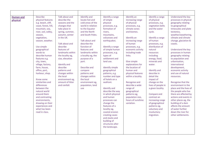| <b>Human and</b><br>physical | <b>Describe</b><br>physical features<br>e.g. beach, cliff,<br>coast, forest, hill,<br>mountain, sea,<br>river, soil, valley,<br>season,<br>vegetation,<br>season, weather.<br>Use simple<br>geographical<br>words to<br>describe human<br>features e.g.<br>city, town,<br>village, factory,<br>farm, house,<br>office, port,<br>harbour, shop.<br>Know some<br>similarities and<br>differences<br>between the<br>natural world<br>around them<br>and contrasting<br>environments,<br>drawing on their<br>experiences and<br>what has been<br>read in class. | Talk about and<br>describe the<br>seasons and the<br>changes that<br>take place in<br>spring, summer,<br>autumn, winter<br>in the UK.<br>Talk about and<br>describe<br>features of<br>landmarks within<br>the locality eg,<br>size, elevation<br>Identify and<br>describe<br>patterns and<br>changes within<br>the local<br>environment eg,<br>amount of litter<br>and rainfall. | Identify and<br>locate hot and<br>cold areas of the<br>world in relation<br>to the Equator<br>and the North<br>and South Poles.<br>Talk about and<br>describe the<br>function of<br>features and<br>landmarks within<br>a locality eg, the<br>purpose of a<br>port.<br>Describe and<br>compare<br>patterns and<br>changes within<br>the local<br>environment eg,<br>population, land<br>use | Identify a range<br>of simple<br>physical<br>processes, e.g.<br>formation of<br>rivers,<br>mountains,<br>volcanoes and<br>earthquakes.<br>Identify a range<br>of simple human<br>processes, e.g.<br>types of<br>settlement and<br>land use.<br><b>Identify simple</b><br>geographical<br>patterns, e.g.<br>number and type<br>of hotels on a<br>seafront.<br><b>Identify and</b><br>describe the way<br>in which physical<br>and human<br>processes can<br>change the<br>features of a<br>locality eg,<br>coastal erosion<br>creating caves<br>and stacks and<br>building of<br>structures alter<br>the landscape. | Identify an<br>increasing range<br>of physical<br>processes, e.g.<br>climate zones<br>and biomes.<br>Identify an<br>increasing range<br>of human<br>processes, e.g.<br>economic activity<br>including trade<br>links.<br>Give simple<br>explanations for<br>the location of<br>human and<br>physical features<br>within a locality.<br>Recognise and<br>describe a wide<br>range of<br>geographical<br>patterns eg,<br>population size,<br>hours of sunshine<br>variation. | Identify a range<br>of physical<br>processes, e.g.<br>vegetation belts<br>and the water<br>cycle.<br>Identify a range<br>of human<br>processes, e.g.<br>distribution of<br>natural<br>resources<br>including<br>energy, food,<br>minerals and<br>water.<br>Identify and<br>describe in<br>detail the<br>impact of<br>change on the<br>lives of people in<br>a given locality.<br>Compare and<br>contrast an<br>increasing range<br>of geographical<br>patterns eg,<br>voluntary and<br>involuntary<br>migration. | Understand the key<br>processes in physical<br>geography relating<br>to geographical<br>timescales and plate<br>tectonics,<br>weather/weathering,<br>climate and climate<br>change, glaciation &<br>coasts.<br>Understand the key<br>processes in human<br>geography relating<br>to population and<br>urbanisation,<br>international<br>development,<br>economic activity<br>and use of natural<br>resources.<br>Recognise that the<br>environment in the<br>place and the lives of<br>the people who live<br>there are affected by<br>actions and events in<br>other places eg, the<br>building of a dam<br>affects the amount<br>of water further<br>down the river for<br>other settlements. |
|------------------------------|-------------------------------------------------------------------------------------------------------------------------------------------------------------------------------------------------------------------------------------------------------------------------------------------------------------------------------------------------------------------------------------------------------------------------------------------------------------------------------------------------------------------------------------------------------------|----------------------------------------------------------------------------------------------------------------------------------------------------------------------------------------------------------------------------------------------------------------------------------------------------------------------------------------------------------------------------------|---------------------------------------------------------------------------------------------------------------------------------------------------------------------------------------------------------------------------------------------------------------------------------------------------------------------------------------------------------------------------------------------|--------------------------------------------------------------------------------------------------------------------------------------------------------------------------------------------------------------------------------------------------------------------------------------------------------------------------------------------------------------------------------------------------------------------------------------------------------------------------------------------------------------------------------------------------------------------------------------------------------------------|----------------------------------------------------------------------------------------------------------------------------------------------------------------------------------------------------------------------------------------------------------------------------------------------------------------------------------------------------------------------------------------------------------------------------------------------------------------------------|------------------------------------------------------------------------------------------------------------------------------------------------------------------------------------------------------------------------------------------------------------------------------------------------------------------------------------------------------------------------------------------------------------------------------------------------------------------------------------------------------------------|-------------------------------------------------------------------------------------------------------------------------------------------------------------------------------------------------------------------------------------------------------------------------------------------------------------------------------------------------------------------------------------------------------------------------------------------------------------------------------------------------------------------------------------------------------------------------------------------------------------------------------------------------------------------------------------------------|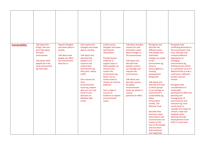| <b>Sustainability</b> | Talk about the<br>things I like and<br>don't like about<br>the local<br>environment.<br>Talk about what<br>people do in the<br>local environment<br>eg, their jobs. | <b>Express thoughts</b><br>and views about a<br>locality.<br>Talk about how<br>people can affect<br>the environment<br>they live in. | Give reasons for<br>thoughts and views<br>about a locality.<br>Talk about and<br>describe how<br>people try to<br>improve and<br>sustain their<br>environment eg,<br>litter pick, reduce<br>traffic.<br>Give reasons for<br>local<br>environmental<br>issues eg, explain<br>why cars can only<br>travel in one<br>direction on<br>Madeley high<br>street. | Justify reason,<br>thoughts and views<br>with factual<br>information.<br>Provide factual<br>evidence to<br>support ways in<br>which people can<br>improve and<br>sustain the<br>environment eg,<br>fewer cars on<br>streets leads to<br>cleaner air and less<br>pollution.<br>Use a range of<br>sources of<br>evidence to explain<br>environmental<br>issues. | Talk about and give<br>reasons for own<br>and others views<br>about changes to<br>the environment.<br>Talk about and<br>describe how<br>people's actions<br>can damage and<br>improve the<br>environment.<br>Talk about and<br>describe reasons<br>for global<br>environmental<br>issues eg, plastic in<br>oceans,<br>greenhouse effect. | Recognise and<br>describe the<br>different views<br>that people may<br>hold when<br>changes are made<br>to the<br>environment eg,<br>those in<br>favour/against a<br>housing<br>development<br>being built.<br>Talk about and<br>describe the ways<br>in which groups<br>try to manage an<br>environment's<br>sustainability eg,<br>Apley<br>Preservation<br>society, The<br><b>National Trust.</b><br>Describe how<br>decisions made<br>about places and<br>environments can<br>impact on the<br>lives of the people<br>who live there<br>both positively<br>and negatively. | <b>Recognise how</b><br>conflicting demands on<br>the environment may<br>arise, describe and<br>compare different<br>approaches to<br>managing<br>environments eg,<br>limiting tourist visitors<br>to a particular area of a<br>National Park so only a<br>small area is affected<br>by litter and soil<br>erosion.<br>Recognise that<br>considerations of<br>sustainable<br>development affect the<br>planning and<br>management of<br>environments and<br>resources eg, local<br>coucils have to<br>consider the impact of<br>schools, roads and<br>hospitals when<br>allowing housing<br>developments to be<br>built in a local area. |
|-----------------------|---------------------------------------------------------------------------------------------------------------------------------------------------------------------|--------------------------------------------------------------------------------------------------------------------------------------|-----------------------------------------------------------------------------------------------------------------------------------------------------------------------------------------------------------------------------------------------------------------------------------------------------------------------------------------------------------|---------------------------------------------------------------------------------------------------------------------------------------------------------------------------------------------------------------------------------------------------------------------------------------------------------------------------------------------------------------|------------------------------------------------------------------------------------------------------------------------------------------------------------------------------------------------------------------------------------------------------------------------------------------------------------------------------------------|-------------------------------------------------------------------------------------------------------------------------------------------------------------------------------------------------------------------------------------------------------------------------------------------------------------------------------------------------------------------------------------------------------------------------------------------------------------------------------------------------------------------------------------------------------------------------------|------------------------------------------------------------------------------------------------------------------------------------------------------------------------------------------------------------------------------------------------------------------------------------------------------------------------------------------------------------------------------------------------------------------------------------------------------------------------------------------------------------------------------------------------------------------------------------------------------------------------------------------|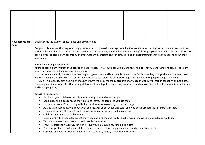| How parents can<br>help: |                                      | Geography is the study of space, place and environment.                |  |                                                                                                                                               |  |  |                                                                                                                                                |  |
|--------------------------|--------------------------------------|------------------------------------------------------------------------|--|-----------------------------------------------------------------------------------------------------------------------------------------------|--|--|------------------------------------------------------------------------------------------------------------------------------------------------|--|
|                          |                                      |                                                                        |  | Geography is a way of thinking, of asking questions, and of observing and appreciating the world around us. It gives us tools we need to move |  |  |                                                                                                                                                |  |
|                          |                                      |                                                                        |  |                                                                                                                                               |  |  | about in the world, to make wise decisions about our environment, and to relate more meaningfully to people from other lands and cultures. You |  |
|                          | surroundings.                        |                                                                        |  | can help your children learn geography by offering them interesting and fun activities and by encouraging them to ask questions about their   |  |  |                                                                                                                                                |  |
|                          |                                      |                                                                        |  |                                                                                                                                               |  |  |                                                                                                                                                |  |
|                          | <b>Everyday learning experiences</b> |                                                                        |  |                                                                                                                                               |  |  |                                                                                                                                                |  |
|                          |                                      |                                                                        |  | Young children learn through their senses and experiences. They touch, feel, smell, and taste things. They run and jump and climb. They play  |  |  |                                                                                                                                                |  |
|                          |                                      | imaginary games, and they ask a million questions.                     |  | In an everyday walk, these children are beginning to understand how people relate to the Earth, how they change the environment, how          |  |  |                                                                                                                                                |  |
|                          |                                      |                                                                        |  | weather changes the character of a place, and how one place relates to another through the movement of people, things, and ideas.             |  |  |                                                                                                                                                |  |
|                          |                                      |                                                                        |  | Children's everyday play and experiences give them the basis for the geographic knowledge that they will learn in school. With just a little  |  |  |                                                                                                                                                |  |
|                          |                                      |                                                                        |  |                                                                                                                                               |  |  | encouragement and some direction, young children will develop the vocabulary, awareness, and curiosity that will help them better understand   |  |
|                          | and learn geography.                 |                                                                        |  |                                                                                                                                               |  |  |                                                                                                                                                |  |
|                          | <b>Activities to consider</b>        |                                                                        |  |                                                                                                                                               |  |  |                                                                                                                                                |  |
|                          | ٠                                    | Read with your child — especially about other places and other people. |  |                                                                                                                                               |  |  |                                                                                                                                                |  |
|                          |                                      |                                                                        |  | Keep maps and globes around the house and let your children see you use them.                                                                 |  |  |                                                                                                                                                |  |
|                          |                                      |                                                                        |  | Look and explore. Go exploring with them and become aware of your surroundings.                                                               |  |  |                                                                                                                                                |  |
|                          | $\bullet$                            |                                                                        |  | Ask, ask, ask. Ask questions about what you see. Ask about shape and color and why things are located in a particular spot.                   |  |  |                                                                                                                                                |  |
|                          | $\bullet$                            | Celebrate your own cultural heritage.                                  |  | Talk about the weather and how it changes what you wear and what you can do.                                                                  |  |  |                                                                                                                                                |  |
|                          | $\bullet$<br>$\bullet$               |                                                                        |  | Experiment with other cultures. Eat their food and sing their songs. Find out where in the world these cultures are found.                    |  |  |                                                                                                                                                |  |
|                          | $\bullet$                            | Talk about where ideas, products, and people come from.                |  |                                                                                                                                               |  |  |                                                                                                                                                |  |
|                          | $\bullet$                            |                                                                        |  | Travel in different ways: Bus, car, bicycle, subway train. Jumping, running, climbing.                                                        |  |  |                                                                                                                                                |  |
|                          |                                      |                                                                        |  | Plan a longer journey with your child using maps or the internet eg, google maps and google street view.                                      |  |  |                                                                                                                                                |  |
|                          | $\bullet$                            |                                                                        |  | Compare any new location with your home location ie, house, street, town, country.                                                            |  |  |                                                                                                                                                |  |